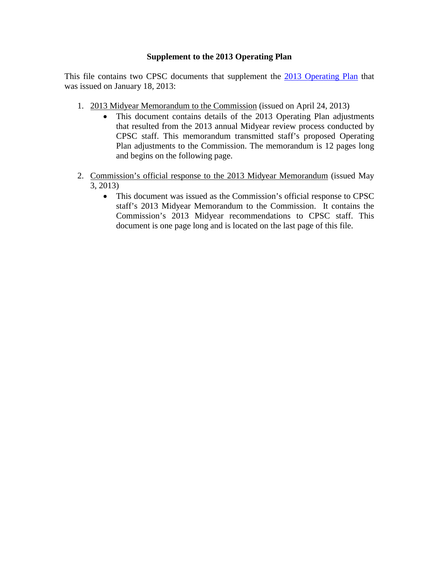# **Supplement to the 2013 Operating Plan**

This file contains two CPSC documents that supplement the [2013 Operating Plan](http://www.cpsc.gov/Global/Budget/2013OperatingPlan.pdf) that was issued on January 18, 2013:

- 1. 2013 Midyear Memorandum to the Commission (issued on April 24, 2013)
	- This document contains details of the 2013 Operating Plan adjustments that resulted from the 2013 annual Midyear review process conducted by CPSC staff. This memorandum transmitted staff's proposed Operating Plan adjustments to the Commission. The memorandum is 12 pages long and begins on the following page.
- 2. Commission's official response to the 2013 Midyear Memorandum (issued May 3, 2013)
	- This document was issued as the Commission's official response to CPSC staff's 2013 Midyear Memorandum to the Commission. It contains the Commission's 2013 Midyear recommendations to CPSC staff. This document is one page long and is located on the last page of this file.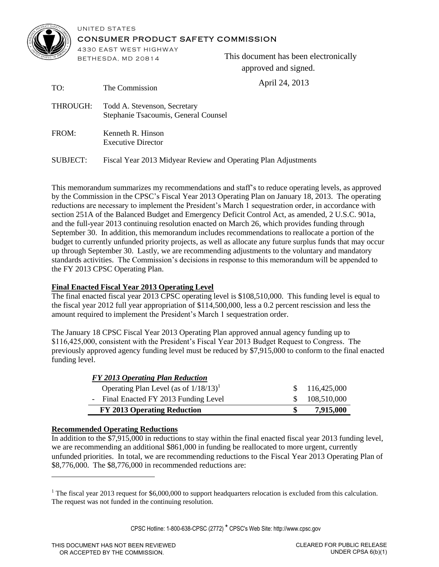

#### UNITED STATES CONSUMER PRODUCT SAFETY COMMISSION

4330 EAST WEST HIGHWAY **BETHE SDA, MD 20814** 

TO: The Commission

This document has been electronically approved and signed.

April 24, 2013

| - 1 V J. | THE COMMISSION                                                       |
|----------|----------------------------------------------------------------------|
| THROUGH: | Todd A. Stevenson, Secretary<br>Stephanie Tsacoumis, General Counsel |
| FROM:    | Kenneth R. Hinson<br><b>Executive Director</b>                       |

SUBJECT: Fiscal Year 2013 Midyear Review and Operating Plan Adjustments

This memorandum summarizes my recommendations and staff's to reduce operating levels, as approved by the Commission in the CPSC's Fiscal Year 2013 Operating Plan on January 18, 2013. The operating reductions are necessary to implement the President's March 1 sequestration order, in accordance with section 251A of the Balanced Budget and Emergency Deficit Control Act, as amended, 2 U.S.C. 901a, and the full-year 2013 continuing resolution enacted on March 26, which provides funding through September 30. In addition, this memorandum includes recommendations to reallocate a portion of the budget to currently unfunded priority projects, as well as allocate any future surplus funds that may occur up through September 30. Lastly, we are recommending adjustments to the voluntary and mandatory standards activities. The Commission's decisions in response to this memorandum will be appended to the FY 2013 CPSC Operating Plan.

# **Final Enacted Fiscal Year 2013 Operating Level**

The final enacted fiscal year 2013 CPSC operating level is \$108,510,000. This funding level is equal to the fiscal year 2012 full year appropriation of \$114,500,000, less a 0.2 percent rescission and less the amount required to implement the President's March 1 sequestration order.

The January 18 CPSC Fiscal Year 2013 Operating Plan approved annual agency funding up to \$116,425,000, consistent with the President's Fiscal Year 2013 Budget Request to Congress. The previously approved agency funding level must be reduced by \$7,915,000 to conform to the final enacted funding level.

| FY 2013 Operating Plan Reduction                     |     |               |
|------------------------------------------------------|-----|---------------|
| Operating Plan Level (as of $1/18/13$ ) <sup>1</sup> |     | \$116,425,000 |
| - Final Enacted FY 2013 Funding Level                | SS. | 108,510,000   |
| <b>FY 2013 Operating Reduction</b>                   |     | 7,915,000     |

# **Recommended Operating Reductions**

l

In addition to the \$7,915,000 in reductions to stay within the final enacted fiscal year 2013 funding level, we are recommending an additional \$861,000 in funding be reallocated to more urgent, currently unfunded priorities. In total, we are recommending reductions to the Fiscal Year 2013 Operating Plan of \$8,776,000. The \$8,776,000 in recommended reductions are:

CPSC Hotline: 1-800-638-CPSC (2772) \* CPSC's Web Site: http://www.cpsc.gov

<sup>&</sup>lt;sup>1</sup> The fiscal year 2013 request for \$6,000,000 to support headquarters relocation is excluded from this calculation. The request was not funded in the continuing resolution.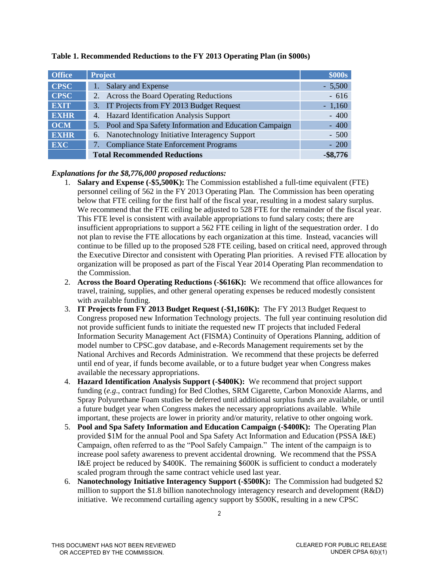| <b>Office</b> | <b>Project</b>                                               | \$000s      |
|---------------|--------------------------------------------------------------|-------------|
| <b>CPSC</b>   | Salary and Expense                                           | $-5,500$    |
| <b>CPSC</b>   | <b>Across the Board Operating Reductions</b><br>2.           | $-616$      |
| <b>EXIT</b>   | IT Projects from FY 2013 Budget Request<br>3.                | $-1,160$    |
| <b>EXHR</b>   | 4. Hazard Identification Analysis Support                    | $-400$      |
| <b>OCM</b>    | Pool and Spa Safety Information and Education Campaign<br>5. | $-400$      |
| <b>EXHR</b>   | Nanotechnology Initiative Interagency Support<br>6.          | $-500$      |
| <b>EXC</b>    | <b>Compliance State Enforcement Programs</b>                 | $-200$      |
|               | <b>Total Recommended Reductions</b>                          | $-$ \$8,776 |

## **Table 1. Recommended Reductions to the FY 2013 Operating Plan (in \$000s)**

## *Explanations for the \$8,776,000 proposed reductions:*

- 1. **Salary and Expense (-\$5,500K):** The Commission established a full-time equivalent (FTE) personnel ceiling of 562 in the FY 2013 Operating Plan. The Commission has been operating below that FTE ceiling for the first half of the fiscal year, resulting in a modest salary surplus. We recommend that the FTE ceiling be adjusted to 528 FTE for the remainder of the fiscal year. This FTE level is consistent with available appropriations to fund salary costs; there are insufficient appropriations to support a 562 FTE ceiling in light of the sequestration order. I do not plan to revise the FTE allocations by each organization at this time. Instead, vacancies will continue to be filled up to the proposed 528 FTE ceiling, based on critical need, approved through the Executive Director and consistent with Operating Plan priorities. A revised FTE allocation by organization will be proposed as part of the Fiscal Year 2014 Operating Plan recommendation to the Commission.
- 2. **Across the Board Operating Reductions (-\$616K):** We recommend that office allowances for travel, training, supplies, and other general operating expenses be reduced modestly consistent with available funding.
- 3. **IT Projects from FY 2013 Budget Request (-\$1,160K):** The FY 2013 Budget Request to Congress proposed new Information Technology projects. The full year continuing resolution did not provide sufficient funds to initiate the requested new IT projects that included Federal Information Security Management Act (FISMA) Continuity of Operations Planning, addition of model number to CPSC.gov database, and e-Records Management requirements set by the National Archives and Records Administration. We recommend that these projects be deferred until end of year, if funds become available, or to a future budget year when Congress makes available the necessary appropriations.
- 4. **Hazard Identification Analysis Support (-\$400K):** We recommend that project support funding (*e.g*., contract funding) for Bed Clothes, SRM Cigarette, Carbon Monoxide Alarms, and Spray Polyurethane Foam studies be deferred until additional surplus funds are available, or until a future budget year when Congress makes the necessary appropriations available. While important, these projects are lower in priority and/or maturity, relative to other ongoing work.
- 5. **Pool and Spa Safety Information and Education Campaign (-\$400K):** The Operating Plan provided \$1M for the annual Pool and Spa Safety Act Information and Education (PSSA I&E) Campaign, often referred to as the "Pool Safely Campaign." The intent of the campaign is to increase pool safety awareness to prevent accidental drowning. We recommend that the PSSA I&E project be reduced by \$400K. The remaining \$600K is sufficient to conduct a moderately scaled program through the same contract vehicle used last year.
- 6. **Nanotechnology Initiative Interagency Support (-\$500K):** The Commission had budgeted \$2 million to support the \$1.8 billion nanotechnology interagency research and development (R&D) initiative. We recommend curtailing agency support by \$500K, resulting in a new CPSC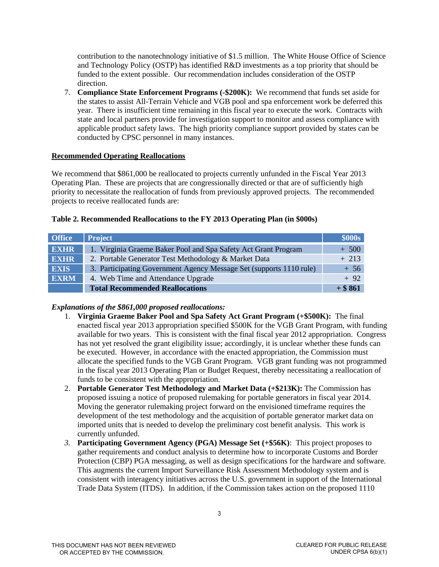contribution to the nanotechnology initiative of \$1.5 million. The White House Office of Science and Technology Policy (OSTP) has identified R&D investments as a top priority that should be funded to the extent possible. Our recommendation includes consideration of the OSTP direction.

7. **Compliance State Enforcement Programs (-\$200K):** We recommend that funds set aside for the states to assist All-Terrain Vehicle and VGB pool and spa enforcement work be deferred this year. There is insufficient time remaining in this fiscal year to execute the work. Contracts with state and local partners provide for investigation support to monitor and assess compliance with applicable product safety laws. The high priority compliance support provided by states can be conducted by CPSC personnel in many instances.

## **Recommended Operating Reallocations**

We recommend that \$861,000 be reallocated to projects currently unfunded in the Fiscal Year 2013 Operating Plan. These are projects that are congressionally directed or that are of sufficiently high priority to necessitate the reallocation of funds from previously approved projects. The recommended projects to receive reallocated funds are:

# **Table 2. Recommended Reallocations to the FY 2013 Operating Plan (in \$000s)**

| <b>Office</b> | <b>Project</b>                                                      | \$000s    |
|---------------|---------------------------------------------------------------------|-----------|
| <b>EXHR</b>   | 1. Virginia Graeme Baker Pool and Spa Safety Act Grant Program      | $+500$    |
| <b>EXHR</b>   | 2. Portable Generator Test Methodology & Market Data                | $+213$    |
| <b>EXIS</b>   | 3. Participating Government Agency Message Set (supports 1110 rule) | $+ 56$    |
| <b>EXRM</b>   | 4. Web Time and Attendance Upgrade                                  | $+92$     |
|               | <b>Total Recommended Reallocations</b>                              | $+$ \$861 |

# *Explanations of the \$861,000 proposed reallocations:*

- 1. **Virginia Graeme Baker Pool and Spa Safety Act Grant Program (+\$500K):** The final enacted fiscal year 2013 appropriation specified \$500K for the VGB Grant Program, with funding available for two years. This is consistent with the final fiscal year 2012 appropriation. Congress has not yet resolved the grant eligibility issue; accordingly, it is unclear whether these funds can be executed. However, in accordance with the enacted appropriation, the Commission must allocate the specified funds to the VGB Grant Program. VGB grant funding was not programmed in the fiscal year 2013 Operating Plan or Budget Request, thereby necessitating a reallocation of funds to be consistent with the appropriation.
- 2. **Portable Generator Test Methodology and Market Data (+\$213K):** The Commission has proposed issuing a notice of proposed rulemaking for portable generators in fiscal year 2014. Moving the generator rulemaking project forward on the envisioned timeframe requires the development of the test methodology and the acquisition of portable generator market data on imported units that is needed to develop the preliminary cost benefit analysis. This work is currently unfunded.
- *3.* **Participating Government Agency (PGA) Message Set (+\$56K)**: This project proposes to gather requirements and conduct analysis to determine how to incorporate Customs and Border Protection (CBP) PGA messaging, as well as design specifications for the hardware and software. This augments the current Import Surveillance Risk Assessment Methodology system and is consistent with interagency initiatives across the U.S. government in support of the International Trade Data System (ITDS). In addition, if the Commission takes action on the proposed 1110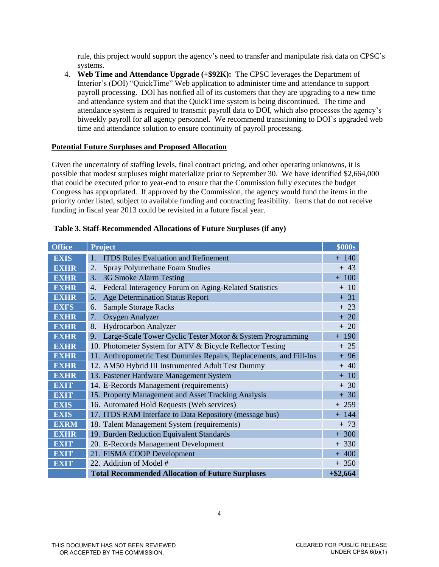rule, this project would support the agency's need to transfer and manipulate risk data on CPSC's systems.

4. **Web Time and Attendance Upgrade (+\$92K):** The CPSC leverages the Department of Interior's (DOI) "QuickTime" Web application to administer time and attendance to support payroll processing. DOI has notified all of its customers that they are upgrading to a new time and attendance system and that the QuickTime system is being discontinued. The time and attendance system is required to transmit payroll data to DOI, which also processes the agency's biweekly payroll for all agency personnel. We recommend transitioning to DOI's upgraded web time and attendance solution to ensure continuity of payroll processing.

#### **Potential Future Surpluses and Proposed Allocation**

Given the uncertainty of staffing levels, final contract pricing, and other operating unknowns, it is possible that modest surpluses might materialize prior to September 30. We have identified \$2,664,000 that could be executed prior to year-end to ensure that the Commission fully executes the budget Congress has appropriated. If approved by the Commission, the agency would fund the items in the priority order listed, subject to available funding and contracting feasibility. Items that do not receive funding in fiscal year 2013 could be revisited in a future fiscal year.

| <b>Office</b> | <b>Project</b>                                                      | <b>\$000s</b> |
|---------------|---------------------------------------------------------------------|---------------|
| <b>EXIS</b>   | <b>ITDS</b> Rules Evaluation and Refinement<br>1.                   | $+ 140$       |
| <b>EXHR</b>   | <b>Spray Polyurethane Foam Studies</b><br>2.                        | $+43$         |
| <b>EXHR</b>   | 3G Smoke Alarm Testing<br>3.                                        | $+ 100$       |
| <b>EXHR</b>   | Federal Interagency Forum on Aging-Related Statistics<br>4.         | $+10$         |
| <b>EXHR</b>   | <b>Age Determination Status Report</b><br>5.                        | $+ 31$        |
| <b>EXFS</b>   | <b>Sample Storage Racks</b><br>6.                                   | $+23$         |
| <b>EXHR</b>   | 7.<br>Oxygen Analyzer                                               | $+20$         |
| <b>EXHR</b>   | <b>Hydrocarbon Analyzer</b><br>8.                                   | $+20$         |
| <b>EXHR</b>   | Large-Scale Tower Cyclic Tester Motor & System Programming<br>9.    | $+ 190$       |
| <b>EXHR</b>   | 10. Photometer System for ATV & Bicycle Reflector Testing           | $+25$         |
| <b>EXHR</b>   | 11. Anthropometric Test Dummies Repairs, Replacements, and Fill-Ins | $+96$         |
| <b>EXHR</b>   | 12. AM50 Hybrid III Instrumented Adult Test Dummy                   | $+40$         |
| <b>EXHR</b>   | 13. Fastener Hardware Management System                             | $+10$         |
| <b>EXIT</b>   | 14. E-Records Management (requirements)                             | $+30$         |
| <b>EXIT</b>   | 15. Property Management and Asset Tracking Analysis                 | $+30$         |
| <b>EXIS</b>   | 16. Automated Hold Requests (Web services)                          | $+259$        |
| <b>EXIS</b>   | 17. ITDS RAM Interface to Data Repository (message bus)             | $+ 144$       |
| <b>EXRM</b>   | 18. Talent Management System (requirements)                         | $+ 73$        |
| <b>EXHR</b>   | 19. Burden Reduction Equivalent Standards                           | $+300$        |
| <b>EXIT</b>   | 20. E-Records Management Development                                | $+330$        |
| <b>EXIT</b>   | 21. FISMA COOP Development                                          | $+400$        |
| <b>EXIT</b>   | 22. Addition of Model #                                             | $+350$        |
|               | <b>Total Recommended Allocation of Future Surpluses</b>             | $+ $2,664$    |

#### **Table 3. Staff-Recommended Allocations of Future Surpluses (if any)**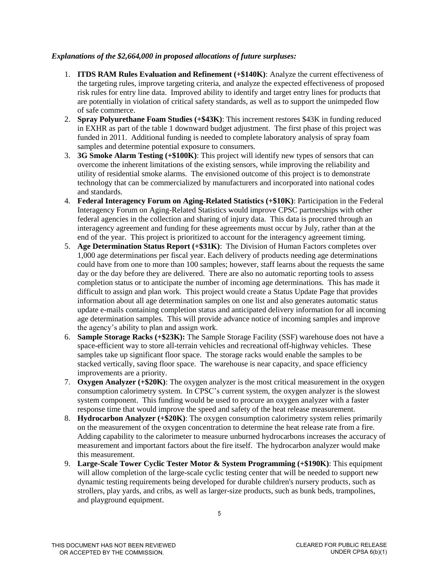## *Explanations of the \$2,664,000 in proposed allocations of future surpluses:*

- 1. **ITDS RAM Rules Evaluation and Refinement (+\$140K)**: Analyze the current effectiveness of the targeting rules, improve targeting criteria, and analyze the expected effectiveness of proposed risk rules for entry line data. Improved ability to identify and target entry lines for products that are potentially in violation of critical safety standards, as well as to support the unimpeded flow of safe commerce.
- 2. **Spray Polyurethane Foam Studies (+\$43K)**: This increment restores \$43K in funding reduced in EXHR as part of the table 1 downward budget adjustment. The first phase of this project was funded in 2011. Additional funding is needed to complete laboratory analysis of spray foam samples and determine potential exposure to consumers.
- 3. **3G Smoke Alarm Testing (+\$100K)**: This project will identify new types of sensors that can overcome the inherent limitations of the existing sensors, while improving the reliability and utility of residential smoke alarms. The envisioned outcome of this project is to demonstrate technology that can be commercialized by manufacturers and incorporated into national codes and standards.
- 4. **Federal Interagency Forum on Aging-Related Statistics (+\$10K)**: Participation in the Federal Interagency Forum on Aging-Related Statistics would improve CPSC partnerships with other federal agencies in the collection and sharing of injury data. This data is procured through an interagency agreement and funding for these agreements must occur by July, rather than at the end of the year. This project is prioritized to account for the interagency agreement timing.
- 5. **Age Determination Status Report (+\$31K)**: The Division of Human Factors completes over 1,000 age determinations per fiscal year. Each delivery of products needing age determinations could have from one to more than 100 samples; however, staff learns about the requests the same day or the day before they are delivered. There are also no automatic reporting tools to assess completion status or to anticipate the number of incoming age determinations. This has made it difficult to assign and plan work. This project would create a Status Update Page that provides information about all age determination samples on one list and also generates automatic status update e-mails containing completion status and anticipated delivery information for all incoming age determination samples. This will provide advance notice of incoming samples and improve the agency's ability to plan and assign work.
- 6. **Sample Storage Racks (+\$23K):** The Sample Storage Facility (SSF) warehouse does not have a space-efficient way to store all-terrain vehicles and recreational off-highway vehicles. These samples take up significant floor space. The storage racks would enable the samples to be stacked vertically, saving floor space. The warehouse is near capacity, and space efficiency improvements are a priority.
- 7. **Oxygen Analyzer (+\$20K)**: The oxygen analyzer is the most critical measurement in the oxygen consumption calorimetry system. In CPSC's current system, the oxygen analyzer is the slowest system component. This funding would be used to procure an oxygen analyzer with a faster response time that would improve the speed and safety of the heat release measurement.
- 8. **Hydrocarbon Analyzer (+\$20K)**: The oxygen consumption calorimetry system relies primarily on the measurement of the oxygen concentration to determine the heat release rate from a fire. Adding capability to the calorimeter to measure unburned hydrocarbons increases the accuracy of measurement and important factors about the fire itself. The hydrocarbon analyzer would make this measurement.
- 9. **Large-Scale Tower Cyclic Tester Motor & System Programming (+\$190K)**: This equipment will allow completion of the large-scale cyclic testing center that will be needed to support new dynamic testing requirements being developed for durable children's nursery products, such as strollers, play yards, and cribs, as well as larger-size products, such as bunk beds, trampolines, and playground equipment.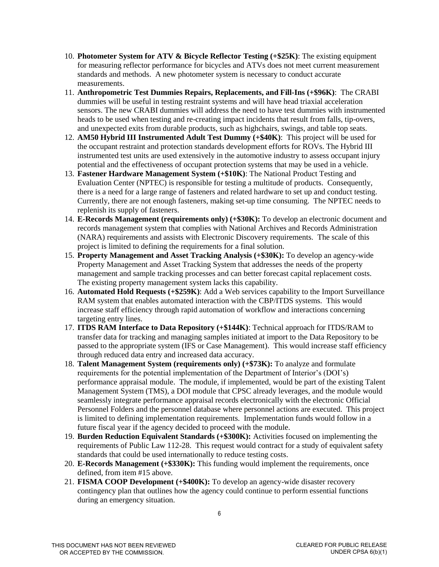- 10. **Photometer System for ATV & Bicycle Reflector Testing (+\$25K)**: The existing equipment for measuring reflector performance for bicycles and ATVs does not meet current measurement standards and methods. A new photometer system is necessary to conduct accurate measurements.
- 11. **Anthropometric Test Dummies Repairs, Replacements, and Fill-Ins (+\$96K)**: The CRABI dummies will be useful in testing restraint systems and will have head triaxial acceleration sensors. The new CRABI dummies will address the need to have test dummies with instrumented heads to be used when testing and re-creating impact incidents that result from falls, tip-overs, and unexpected exits from durable products, such as highchairs, swings, and table top seats.
- 12. **AM50 Hybrid III Instrumented Adult Test Dummy (+\$40K)**: This project will be used for the occupant restraint and protection standards development efforts for ROVs. The Hybrid III instrumented test units are used extensively in the automotive industry to assess occupant injury potential and the effectiveness of occupant protection systems that may be used in a vehicle.
- 13. **Fastener Hardware Management System (+\$10K)**: The National Product Testing and Evaluation Center (NPTEC) is responsible for testing a multitude of products. Consequently, there is a need for a large range of fasteners and related hardware to set up and conduct testing. Currently, there are not enough fasteners, making set-up time consuming. The NPTEC needs to replenish its supply of fasteners.
- 14. **E-Records Management (requirements only) (+\$30K):** To develop an electronic document and records management system that complies with National Archives and Records Administration (NARA) requirements and assists with Electronic Discovery requirements. The scale of this project is limited to defining the requirements for a final solution.
- 15. **Property Management and Asset Tracking Analysis (+\$30K):** To develop an agency-wide Property Management and Asset Tracking System that addresses the needs of the property management and sample tracking processes and can better forecast capital replacement costs. The existing property management system lacks this capability.
- 16. **Automated Hold Requests (+\$259K)**: Add a Web services capability to the Import Surveillance RAM system that enables automated interaction with the CBP/ITDS systems. This would increase staff efficiency through rapid automation of workflow and interactions concerning targeting entry lines.
- 17. **ITDS RAM Interface to Data Repository (+\$144K)**: Technical approach for ITDS/RAM to transfer data for tracking and managing samples initiated at import to the Data Repository to be passed to the appropriate system (IFS or Case Management). This would increase staff efficiency through reduced data entry and increased data accuracy.
- 18. **Talent Management System (requirements only) (+\$73K):** To analyze and formulate requirements for the potential implementation of the Department of Interior's (DOI's) performance appraisal module. The module, if implemented, would be part of the existing Talent Management System (TMS), a DOI module that CPSC already leverages, and the module would seamlessly integrate performance appraisal records electronically with the electronic Official Personnel Folders and the personnel database where personnel actions are executed. This project is limited to defining implementation requirements. Implementation funds would follow in a future fiscal year if the agency decided to proceed with the module.
- 19. **Burden Reduction Equivalent Standards (+\$300K):** Activities focused on implementing the requirements of Public Law 112-28. This request would contract for a study of equivalent safety standards that could be used internationally to reduce testing costs.
- 20. **E-Records Management (+\$330K):** This funding would implement the requirements, once defined, from item #15 above.
- 21. **FISMA COOP Development (+\$400K):** To develop an agency-wide disaster recovery contingency plan that outlines how the agency could continue to perform essential functions during an emergency situation.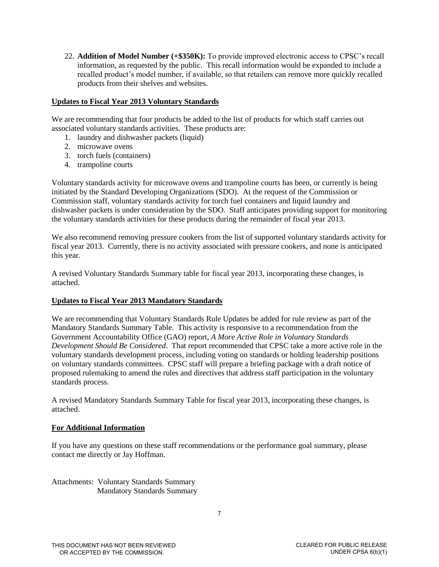22. **Addition of Model Number (+\$350K):** To provide improved electronic access to CPSC's recall information, as requested by the public. This recall information would be expanded to include a recalled product's model number, if available, so that retailers can remove more quickly recalled products from their shelves and websites.

## **Updates to Fiscal Year 2013 Voluntary Standards**

We are recommending that four products be added to the list of products for which staff carries out associated voluntary standards activities. These products are:

- 1. laundry and dishwasher packets (liquid)
- 2. microwave ovens
- 3. torch fuels (containers)
- 4. trampoline courts

Voluntary standards activity for microwave ovens and trampoline courts has been, or currently is being initiated by the Standard Developing Organizations (SDO). At the request of the Commission or Commission staff, voluntary standards activity for torch fuel containers and liquid laundry and dishwasher packets is under consideration by the SDO. Staff anticipates providing support for monitoring the voluntary standards activities for these products during the remainder of fiscal year 2013.

We also recommend removing pressure cookers from the list of supported voluntary standards activity for fiscal year 2013. Currently, there is no activity associated with pressure cookers, and none is anticipated this year.

A revised Voluntary Standards Summary table for fiscal year 2013, incorporating these changes, is attached.

#### **Updates to Fiscal Year 2013 Mandatory Standards**

We are recommending that Voluntary Standards Rule Updates be added for rule review as part of the Mandatory Standards Summary Table. This activity is responsive to a recommendation from the Government Accountability Office (GAO) report, *A More Active Role in Voluntary Standards Development Should Be Considered*. That report recommended that CPSC take a more active role in the voluntary standards development process, including voting on standards or holding leadership positions on voluntary standards committees. CPSC staff will prepare a briefing package with a draft notice of proposed rulemaking to amend the rules and directives that address staff participation in the voluntary standards process.

A revised Mandatory Standards Summary Table for fiscal year 2013, incorporating these changes, is attached.

#### **For Additional Information**

If you have any questions on these staff recommendations or the performance goal summary, please contact me directly or Jay Hoffman.

Attachments: Voluntary Standards Summary Mandatory Standards Summary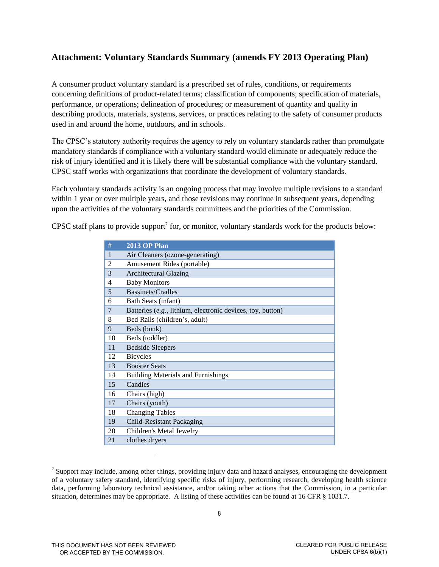# **Attachment: Voluntary Standards Summary (amends FY 2013 Operating Plan)**

A consumer product voluntary standard is a prescribed set of rules, conditions, or requirements concerning definitions of product-related terms; classification of components; specification of materials, performance, or operations; delineation of procedures; or measurement of quantity and quality in describing products, materials, systems, services, or practices relating to the safety of consumer products used in and around the home, outdoors, and in schools.

The CPSC's statutory authority requires the agency to rely on voluntary standards rather than promulgate mandatory standards if compliance with a voluntary standard would eliminate or adequately reduce the risk of injury identified and it is likely there will be substantial compliance with the voluntary standard. CPSC staff works with organizations that coordinate the development of voluntary standards.

Each voluntary standards activity is an ongoing process that may involve multiple revisions to a standard within 1 year or over multiple years, and those revisions may continue in subsequent years, depending upon the activities of the voluntary standards committees and the priorities of the Commission.

CPSC staff plans to provide support<sup>2</sup> for, or monitor, voluntary standards work for the products below:

| #  | <b>2013 OP Plan</b>                                        |
|----|------------------------------------------------------------|
| 1  | Air Cleaners (ozone-generating)                            |
| 2  | Amusement Rides (portable)                                 |
| 3  | <b>Architectural Glazing</b>                               |
| 4  | <b>Baby Monitors</b>                                       |
| 5  | Bassinets/Cradles                                          |
| 6  | Bath Seats (infant)                                        |
| 7  | Batteries (e.g., lithium, electronic devices, toy, button) |
| 8  | Bed Rails (children's, adult)                              |
| 9  | Beds (bunk)                                                |
| 10 | Beds (toddler)                                             |
| 11 | <b>Bedside Sleepers</b>                                    |
| 12 | <b>Bicycles</b>                                            |
| 13 | <b>Booster Seats</b>                                       |
| 14 | <b>Building Materials and Furnishings</b>                  |
| 15 | Candles                                                    |
| 16 | Chairs (high)                                              |
| 17 | Chairs (youth)                                             |
| 18 | <b>Changing Tables</b>                                     |
| 19 | <b>Child-Resistant Packaging</b>                           |
| 20 | Children's Metal Jewelry                                   |
| 21 | clothes dryers                                             |

 $2^2$  Support may include, among other things, providing injury data and hazard analyses, encouraging the development of a voluntary safety standard, identifying specific risks of injury, performing research, developing health science data, performing laboratory technical assistance, and/or taking other actions that the Commission, in a particular situation, determines may be appropriate. A listing of these activities can be found at 16 CFR § 1031.7.

l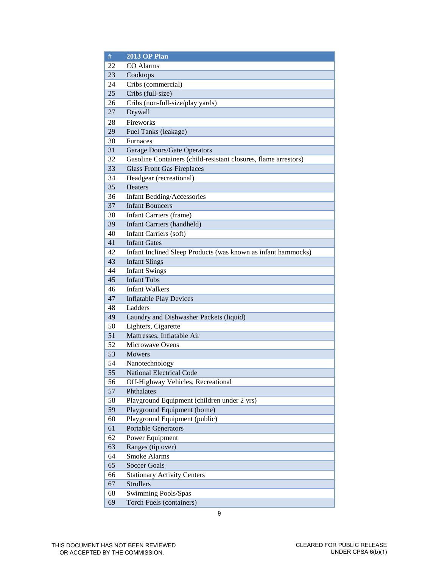| 22<br>CO Alarms<br>23<br>Cooktops<br>Cribs (commercial)<br>24<br>Cribs (full-size)<br>25<br>Cribs (non-full-size/play yards)<br>26<br>Drywall<br>27<br>Fireworks<br>28<br>29<br>Fuel Tanks (leakage)<br>Furnaces<br>30<br>31<br>Garage Doors/Gate Operators<br>Gasoline Containers (child-resistant closures, flame arrestors)<br>32<br><b>Glass Front Gas Fireplaces</b><br>33<br>Headgear (recreational)<br>34<br>35<br>Heaters<br><b>Infant Bedding/Accessories</b><br>36<br>37<br><b>Infant Bouncers</b><br>Infant Carriers (frame)<br>38<br>39<br><b>Infant Carriers (handheld)</b><br>40<br>Infant Carriers (soft)<br>41<br><b>Infant Gates</b><br>42<br>Infant Inclined Sleep Products (was known as infant hammocks)<br>43<br><b>Infant Slings</b><br>44<br><b>Infant Swings</b><br><b>Infant Tubs</b><br>45<br><b>Infant Walkers</b><br>46<br>47<br><b>Inflatable Play Devices</b><br>48<br>Ladders<br>Laundry and Dishwasher Packets (liquid)<br>49<br>Lighters, Cigarette<br>50<br>Mattresses, Inflatable Air<br>51<br>52<br>Microwave Ovens<br>53<br><b>Mowers</b><br>54<br>Nanotechnology<br>55<br>National Electrical Code<br>56<br>Off-Highway Vehicles, Recreational<br>57<br>Phthalates<br>Playground Equipment (children under 2 yrs)<br>58<br>59<br>Playground Equipment (home)<br>60<br>Playground Equipment (public)<br>61<br><b>Portable Generators</b><br>62<br>Power Equipment<br>63<br>Ranges (tip over)<br><b>Smoke Alarms</b><br>64<br>65<br><b>Soccer Goals</b><br>66<br><b>Stationary Activity Centers</b><br><b>Strollers</b><br>67<br>68<br>Swimming Pools/Spas<br>Torch Fuels (containers)<br>69 | $\#$ | <b>2013 OP Plan</b> |
|----------------------------------------------------------------------------------------------------------------------------------------------------------------------------------------------------------------------------------------------------------------------------------------------------------------------------------------------------------------------------------------------------------------------------------------------------------------------------------------------------------------------------------------------------------------------------------------------------------------------------------------------------------------------------------------------------------------------------------------------------------------------------------------------------------------------------------------------------------------------------------------------------------------------------------------------------------------------------------------------------------------------------------------------------------------------------------------------------------------------------------------------------------------------------------------------------------------------------------------------------------------------------------------------------------------------------------------------------------------------------------------------------------------------------------------------------------------------------------------------------------------------------------------------------------------------------------------------------------------------------------|------|---------------------|
|                                                                                                                                                                                                                                                                                                                                                                                                                                                                                                                                                                                                                                                                                                                                                                                                                                                                                                                                                                                                                                                                                                                                                                                                                                                                                                                                                                                                                                                                                                                                                                                                                                  |      |                     |
|                                                                                                                                                                                                                                                                                                                                                                                                                                                                                                                                                                                                                                                                                                                                                                                                                                                                                                                                                                                                                                                                                                                                                                                                                                                                                                                                                                                                                                                                                                                                                                                                                                  |      |                     |
|                                                                                                                                                                                                                                                                                                                                                                                                                                                                                                                                                                                                                                                                                                                                                                                                                                                                                                                                                                                                                                                                                                                                                                                                                                                                                                                                                                                                                                                                                                                                                                                                                                  |      |                     |
|                                                                                                                                                                                                                                                                                                                                                                                                                                                                                                                                                                                                                                                                                                                                                                                                                                                                                                                                                                                                                                                                                                                                                                                                                                                                                                                                                                                                                                                                                                                                                                                                                                  |      |                     |
|                                                                                                                                                                                                                                                                                                                                                                                                                                                                                                                                                                                                                                                                                                                                                                                                                                                                                                                                                                                                                                                                                                                                                                                                                                                                                                                                                                                                                                                                                                                                                                                                                                  |      |                     |
|                                                                                                                                                                                                                                                                                                                                                                                                                                                                                                                                                                                                                                                                                                                                                                                                                                                                                                                                                                                                                                                                                                                                                                                                                                                                                                                                                                                                                                                                                                                                                                                                                                  |      |                     |
|                                                                                                                                                                                                                                                                                                                                                                                                                                                                                                                                                                                                                                                                                                                                                                                                                                                                                                                                                                                                                                                                                                                                                                                                                                                                                                                                                                                                                                                                                                                                                                                                                                  |      |                     |
|                                                                                                                                                                                                                                                                                                                                                                                                                                                                                                                                                                                                                                                                                                                                                                                                                                                                                                                                                                                                                                                                                                                                                                                                                                                                                                                                                                                                                                                                                                                                                                                                                                  |      |                     |
|                                                                                                                                                                                                                                                                                                                                                                                                                                                                                                                                                                                                                                                                                                                                                                                                                                                                                                                                                                                                                                                                                                                                                                                                                                                                                                                                                                                                                                                                                                                                                                                                                                  |      |                     |
|                                                                                                                                                                                                                                                                                                                                                                                                                                                                                                                                                                                                                                                                                                                                                                                                                                                                                                                                                                                                                                                                                                                                                                                                                                                                                                                                                                                                                                                                                                                                                                                                                                  |      |                     |
|                                                                                                                                                                                                                                                                                                                                                                                                                                                                                                                                                                                                                                                                                                                                                                                                                                                                                                                                                                                                                                                                                                                                                                                                                                                                                                                                                                                                                                                                                                                                                                                                                                  |      |                     |
|                                                                                                                                                                                                                                                                                                                                                                                                                                                                                                                                                                                                                                                                                                                                                                                                                                                                                                                                                                                                                                                                                                                                                                                                                                                                                                                                                                                                                                                                                                                                                                                                                                  |      |                     |
|                                                                                                                                                                                                                                                                                                                                                                                                                                                                                                                                                                                                                                                                                                                                                                                                                                                                                                                                                                                                                                                                                                                                                                                                                                                                                                                                                                                                                                                                                                                                                                                                                                  |      |                     |
|                                                                                                                                                                                                                                                                                                                                                                                                                                                                                                                                                                                                                                                                                                                                                                                                                                                                                                                                                                                                                                                                                                                                                                                                                                                                                                                                                                                                                                                                                                                                                                                                                                  |      |                     |
|                                                                                                                                                                                                                                                                                                                                                                                                                                                                                                                                                                                                                                                                                                                                                                                                                                                                                                                                                                                                                                                                                                                                                                                                                                                                                                                                                                                                                                                                                                                                                                                                                                  |      |                     |
|                                                                                                                                                                                                                                                                                                                                                                                                                                                                                                                                                                                                                                                                                                                                                                                                                                                                                                                                                                                                                                                                                                                                                                                                                                                                                                                                                                                                                                                                                                                                                                                                                                  |      |                     |
|                                                                                                                                                                                                                                                                                                                                                                                                                                                                                                                                                                                                                                                                                                                                                                                                                                                                                                                                                                                                                                                                                                                                                                                                                                                                                                                                                                                                                                                                                                                                                                                                                                  |      |                     |
|                                                                                                                                                                                                                                                                                                                                                                                                                                                                                                                                                                                                                                                                                                                                                                                                                                                                                                                                                                                                                                                                                                                                                                                                                                                                                                                                                                                                                                                                                                                                                                                                                                  |      |                     |
|                                                                                                                                                                                                                                                                                                                                                                                                                                                                                                                                                                                                                                                                                                                                                                                                                                                                                                                                                                                                                                                                                                                                                                                                                                                                                                                                                                                                                                                                                                                                                                                                                                  |      |                     |
|                                                                                                                                                                                                                                                                                                                                                                                                                                                                                                                                                                                                                                                                                                                                                                                                                                                                                                                                                                                                                                                                                                                                                                                                                                                                                                                                                                                                                                                                                                                                                                                                                                  |      |                     |
|                                                                                                                                                                                                                                                                                                                                                                                                                                                                                                                                                                                                                                                                                                                                                                                                                                                                                                                                                                                                                                                                                                                                                                                                                                                                                                                                                                                                                                                                                                                                                                                                                                  |      |                     |
|                                                                                                                                                                                                                                                                                                                                                                                                                                                                                                                                                                                                                                                                                                                                                                                                                                                                                                                                                                                                                                                                                                                                                                                                                                                                                                                                                                                                                                                                                                                                                                                                                                  |      |                     |
|                                                                                                                                                                                                                                                                                                                                                                                                                                                                                                                                                                                                                                                                                                                                                                                                                                                                                                                                                                                                                                                                                                                                                                                                                                                                                                                                                                                                                                                                                                                                                                                                                                  |      |                     |
|                                                                                                                                                                                                                                                                                                                                                                                                                                                                                                                                                                                                                                                                                                                                                                                                                                                                                                                                                                                                                                                                                                                                                                                                                                                                                                                                                                                                                                                                                                                                                                                                                                  |      |                     |
|                                                                                                                                                                                                                                                                                                                                                                                                                                                                                                                                                                                                                                                                                                                                                                                                                                                                                                                                                                                                                                                                                                                                                                                                                                                                                                                                                                                                                                                                                                                                                                                                                                  |      |                     |
|                                                                                                                                                                                                                                                                                                                                                                                                                                                                                                                                                                                                                                                                                                                                                                                                                                                                                                                                                                                                                                                                                                                                                                                                                                                                                                                                                                                                                                                                                                                                                                                                                                  |      |                     |
|                                                                                                                                                                                                                                                                                                                                                                                                                                                                                                                                                                                                                                                                                                                                                                                                                                                                                                                                                                                                                                                                                                                                                                                                                                                                                                                                                                                                                                                                                                                                                                                                                                  |      |                     |
|                                                                                                                                                                                                                                                                                                                                                                                                                                                                                                                                                                                                                                                                                                                                                                                                                                                                                                                                                                                                                                                                                                                                                                                                                                                                                                                                                                                                                                                                                                                                                                                                                                  |      |                     |
|                                                                                                                                                                                                                                                                                                                                                                                                                                                                                                                                                                                                                                                                                                                                                                                                                                                                                                                                                                                                                                                                                                                                                                                                                                                                                                                                                                                                                                                                                                                                                                                                                                  |      |                     |
|                                                                                                                                                                                                                                                                                                                                                                                                                                                                                                                                                                                                                                                                                                                                                                                                                                                                                                                                                                                                                                                                                                                                                                                                                                                                                                                                                                                                                                                                                                                                                                                                                                  |      |                     |
|                                                                                                                                                                                                                                                                                                                                                                                                                                                                                                                                                                                                                                                                                                                                                                                                                                                                                                                                                                                                                                                                                                                                                                                                                                                                                                                                                                                                                                                                                                                                                                                                                                  |      |                     |
|                                                                                                                                                                                                                                                                                                                                                                                                                                                                                                                                                                                                                                                                                                                                                                                                                                                                                                                                                                                                                                                                                                                                                                                                                                                                                                                                                                                                                                                                                                                                                                                                                                  |      |                     |
|                                                                                                                                                                                                                                                                                                                                                                                                                                                                                                                                                                                                                                                                                                                                                                                                                                                                                                                                                                                                                                                                                                                                                                                                                                                                                                                                                                                                                                                                                                                                                                                                                                  |      |                     |
|                                                                                                                                                                                                                                                                                                                                                                                                                                                                                                                                                                                                                                                                                                                                                                                                                                                                                                                                                                                                                                                                                                                                                                                                                                                                                                                                                                                                                                                                                                                                                                                                                                  |      |                     |
|                                                                                                                                                                                                                                                                                                                                                                                                                                                                                                                                                                                                                                                                                                                                                                                                                                                                                                                                                                                                                                                                                                                                                                                                                                                                                                                                                                                                                                                                                                                                                                                                                                  |      |                     |
|                                                                                                                                                                                                                                                                                                                                                                                                                                                                                                                                                                                                                                                                                                                                                                                                                                                                                                                                                                                                                                                                                                                                                                                                                                                                                                                                                                                                                                                                                                                                                                                                                                  |      |                     |
|                                                                                                                                                                                                                                                                                                                                                                                                                                                                                                                                                                                                                                                                                                                                                                                                                                                                                                                                                                                                                                                                                                                                                                                                                                                                                                                                                                                                                                                                                                                                                                                                                                  |      |                     |
|                                                                                                                                                                                                                                                                                                                                                                                                                                                                                                                                                                                                                                                                                                                                                                                                                                                                                                                                                                                                                                                                                                                                                                                                                                                                                                                                                                                                                                                                                                                                                                                                                                  |      |                     |
|                                                                                                                                                                                                                                                                                                                                                                                                                                                                                                                                                                                                                                                                                                                                                                                                                                                                                                                                                                                                                                                                                                                                                                                                                                                                                                                                                                                                                                                                                                                                                                                                                                  |      |                     |
|                                                                                                                                                                                                                                                                                                                                                                                                                                                                                                                                                                                                                                                                                                                                                                                                                                                                                                                                                                                                                                                                                                                                                                                                                                                                                                                                                                                                                                                                                                                                                                                                                                  |      |                     |
|                                                                                                                                                                                                                                                                                                                                                                                                                                                                                                                                                                                                                                                                                                                                                                                                                                                                                                                                                                                                                                                                                                                                                                                                                                                                                                                                                                                                                                                                                                                                                                                                                                  |      |                     |
|                                                                                                                                                                                                                                                                                                                                                                                                                                                                                                                                                                                                                                                                                                                                                                                                                                                                                                                                                                                                                                                                                                                                                                                                                                                                                                                                                                                                                                                                                                                                                                                                                                  |      |                     |
|                                                                                                                                                                                                                                                                                                                                                                                                                                                                                                                                                                                                                                                                                                                                                                                                                                                                                                                                                                                                                                                                                                                                                                                                                                                                                                                                                                                                                                                                                                                                                                                                                                  |      |                     |
|                                                                                                                                                                                                                                                                                                                                                                                                                                                                                                                                                                                                                                                                                                                                                                                                                                                                                                                                                                                                                                                                                                                                                                                                                                                                                                                                                                                                                                                                                                                                                                                                                                  |      |                     |
|                                                                                                                                                                                                                                                                                                                                                                                                                                                                                                                                                                                                                                                                                                                                                                                                                                                                                                                                                                                                                                                                                                                                                                                                                                                                                                                                                                                                                                                                                                                                                                                                                                  |      |                     |
|                                                                                                                                                                                                                                                                                                                                                                                                                                                                                                                                                                                                                                                                                                                                                                                                                                                                                                                                                                                                                                                                                                                                                                                                                                                                                                                                                                                                                                                                                                                                                                                                                                  |      |                     |
|                                                                                                                                                                                                                                                                                                                                                                                                                                                                                                                                                                                                                                                                                                                                                                                                                                                                                                                                                                                                                                                                                                                                                                                                                                                                                                                                                                                                                                                                                                                                                                                                                                  |      |                     |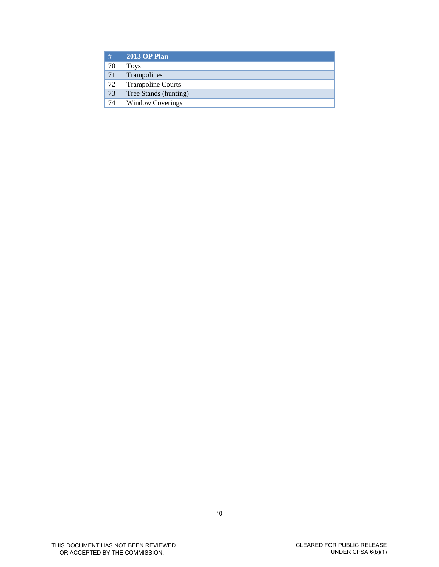| #  | <b>2013 OP Plan</b>      |
|----|--------------------------|
| 70 | <b>Toys</b>              |
| 71 | Trampolines              |
| 72 | <b>Trampoline Courts</b> |
| 73 | Tree Stands (hunting)    |
| 74 | <b>Window Coverings</b>  |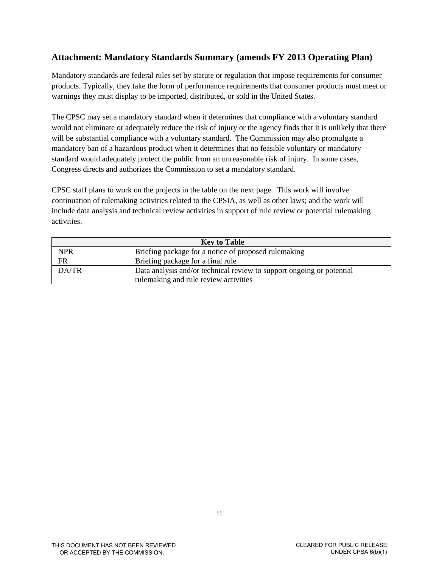# **Attachment: Mandatory Standards Summary (amends FY 2013 Operating Plan)**

Mandatory standards are federal rules set by statute or regulation that impose requirements for consumer products. Typically, they take the form of performance requirements that consumer products must meet or warnings they must display to be imported, distributed, or sold in the United States.

The CPSC may set a mandatory standard when it determines that compliance with a voluntary standard would not eliminate or adequately reduce the risk of injury or the agency finds that it is unlikely that there will be substantial compliance with a voluntary standard. The Commission may also promulgate a mandatory ban of a hazardous product when it determines that no feasible voluntary or mandatory standard would adequately protect the public from an unreasonable risk of injury. In some cases, Congress directs and authorizes the Commission to set a mandatory standard.

CPSC staff plans to work on the projects in the table on the next page. This work will involve continuation of rulemaking activities related to the CPSIA, as well as other laws; and the work will include data analysis and technical review activities in support of rule review or potential rulemaking activities.

| <b>Key to Table</b> |                                                                       |  |
|---------------------|-----------------------------------------------------------------------|--|
| <b>NPR</b>          | Briefing package for a notice of proposed rulemaking                  |  |
| FR                  | Briefing package for a final rule                                     |  |
| DA/TR               | Data analysis and/or technical review to support ongoing or potential |  |
|                     | rulemaking and rule review activities                                 |  |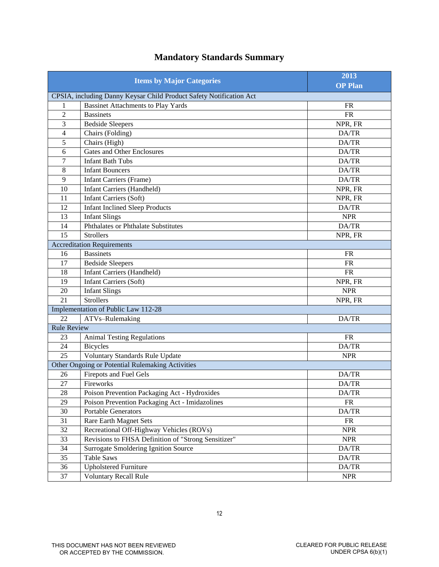| <b>Items by Major Categories</b> |                                                                     | 2013                                  |
|----------------------------------|---------------------------------------------------------------------|---------------------------------------|
|                                  |                                                                     | <b>OP Plan</b>                        |
|                                  | CPSIA, including Danny Keysar Child Product Safety Notification Act |                                       |
| 1                                | <b>Bassinet Attachments to Play Yards</b>                           | <b>FR</b>                             |
| $\overline{2}$                   | <b>Bassinets</b>                                                    | FR                                    |
| 3                                | <b>Bedside Sleepers</b>                                             | NPR, FR                               |
| $\overline{\mathcal{L}}$         | Chairs (Folding)                                                    | DA/TR                                 |
| 5                                | Chairs (High)                                                       | DA/TR                                 |
| 6                                | <b>Gates and Other Enclosures</b>                                   | DA/TR                                 |
| 7                                | <b>Infant Bath Tubs</b>                                             | DA/TR                                 |
| 8                                | <b>Infant Bouncers</b>                                              | DA/TR                                 |
| 9                                | <b>Infant Carriers (Frame)</b>                                      | DA/TR                                 |
| 10                               | <b>Infant Carriers (Handheld)</b>                                   | NPR, FR                               |
| 11                               | <b>Infant Carriers (Soft)</b>                                       | NPR, FR                               |
| 12                               | <b>Infant Inclined Sleep Products</b>                               | DA/TR                                 |
| 13                               | <b>Infant Slings</b>                                                | <b>NPR</b>                            |
| 14                               | Phthalates or Phthalate Substitutes                                 | DA/TR                                 |
| 15                               | <b>Strollers</b>                                                    | NPR, FR                               |
|                                  | <b>Accreditation Requirements</b>                                   |                                       |
| 16                               | <b>Bassinets</b>                                                    | <b>FR</b>                             |
| 17                               | <b>Bedside Sleepers</b>                                             | <b>FR</b>                             |
| 18                               | <b>Infant Carriers (Handheld)</b>                                   | <b>FR</b>                             |
| 19                               | <b>Infant Carriers (Soft)</b>                                       | NPR, FR                               |
| 20                               | <b>Infant Slings</b>                                                | <b>NPR</b>                            |
| 21                               | <b>Strollers</b>                                                    | NPR, FR                               |
|                                  | Implementation of Public Law 112-28                                 |                                       |
| 22                               | ATVs-Rulemaking                                                     | DA/TR                                 |
| <b>Rule Review</b>               |                                                                     |                                       |
| 23                               | <b>Animal Testing Regulations</b>                                   | <b>FR</b>                             |
| 24                               | <b>Bicycles</b>                                                     | DA/TR                                 |
| 25                               | Voluntary Standards Rule Update                                     | <b>NPR</b>                            |
|                                  | Other Ongoing or Potential Rulemaking Activities                    |                                       |
| 26                               | <b>Firepots and Fuel Gels</b>                                       | DA/TR                                 |
| 27                               | Fireworks                                                           | DA/TR                                 |
| $\overline{28}$                  | Poison Prevention Packaging Act - Hydroxides                        | $\mathbf{DA} / \mathbf{T} \mathbf{R}$ |
| 29                               | Poison Prevention Packaging Act - Imidazolines                      | <b>FR</b>                             |
| 30                               | <b>Portable Generators</b>                                          | DA/TR                                 |
| 31                               | Rare Earth Magnet Sets                                              | ${\sf FR}$                            |
| 32                               | Recreational Off-Highway Vehicles (ROVs)                            | <b>NPR</b>                            |
| 33                               | Revisions to FHSA Definition of "Strong Sensitizer"                 | <b>NPR</b>                            |
| 34                               | <b>Surrogate Smoldering Ignition Source</b>                         | $\mathbf{DA} / \mathbf{T} \mathbf{R}$ |
| 35                               | <b>Table Saws</b>                                                   | DA/TR                                 |
| 36                               | <b>Upholstered Furniture</b>                                        | DA/TR                                 |
| 37                               | <b>Voluntary Recall Rule</b>                                        | <b>NPR</b>                            |